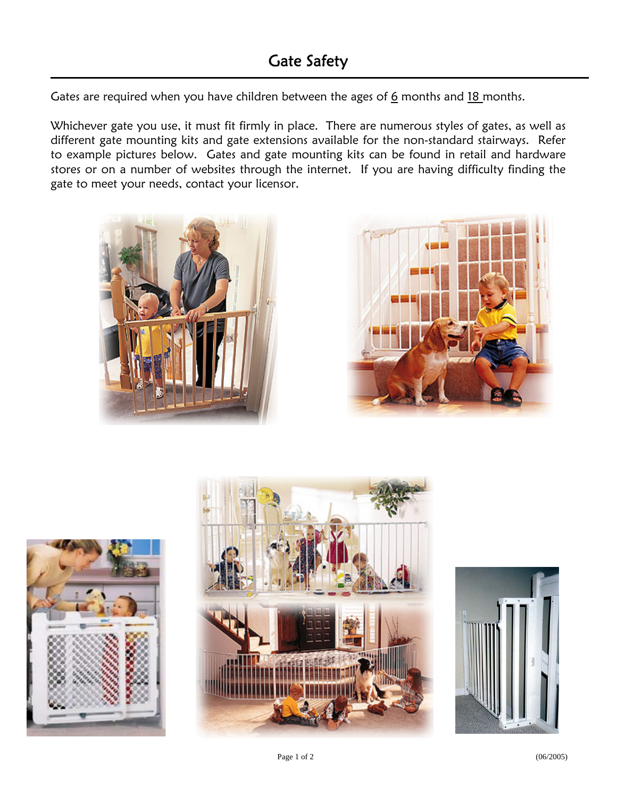Gates are required when you have children between the ages of  $6$  months and  $18$  months.

Whichever gate you use, it must fit firmly in place. There are numerous styles of gates, as well as different gate mounting kits and gate extensions available for the non-standard stairways. Refer to example pictures below. Gates and gate mounting kits can be found in retail and hardware stores or on a number of websites through the internet. If you are having difficulty finding the gate to meet your needs, contact your licensor.